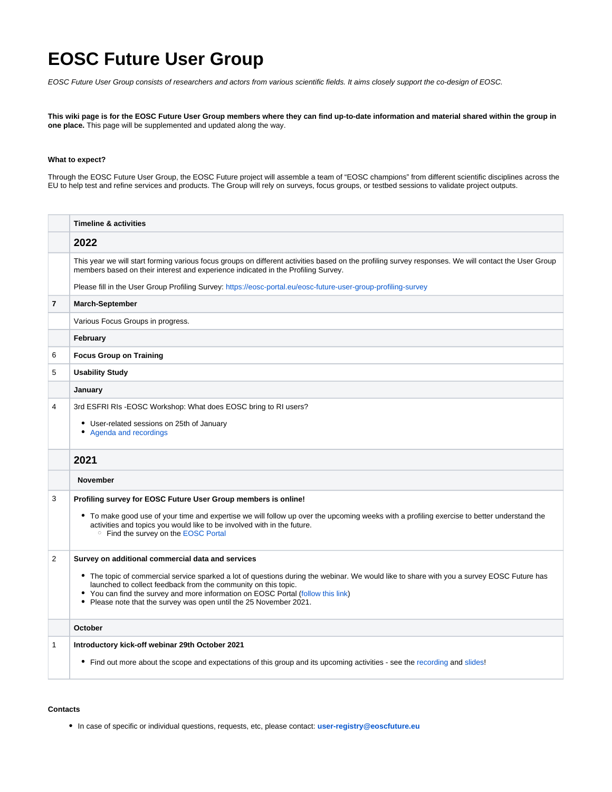## **EOSC Future User Group**

EOSC Future User Group consists of researchers and actors from various scientific fields. It aims closely support the co-design of EOSC.

**This wiki page is for the EOSC Future User Group members where they can find up-to-date information and material shared within the group in one place.** This page will be supplemented and updated along the way.

## **What to expect?**

Through the EOSC Future User Group, the EOSC Future project will assemble a team of "EOSC champions" from different scientific disciplines across the EU to help test and refine services and products. The Group will rely on surveys, focus groups, or testbed sessions to validate project outputs.

|                          | <b>Timeline &amp; activities</b>                                                                                                                                                                                                                                                                                                                                                                                           |
|--------------------------|----------------------------------------------------------------------------------------------------------------------------------------------------------------------------------------------------------------------------------------------------------------------------------------------------------------------------------------------------------------------------------------------------------------------------|
|                          | 2022                                                                                                                                                                                                                                                                                                                                                                                                                       |
|                          | This year we will start forming various focus groups on different activities based on the profiling survey responses. We will contact the User Group<br>members based on their interest and experience indicated in the Profiling Survey.                                                                                                                                                                                  |
|                          | Please fill in the User Group Profiling Survey: https://eosc-portal.eu/eosc-future-user-group-profiling-survey                                                                                                                                                                                                                                                                                                             |
| $\overline{\phantom{a}}$ | <b>March-September</b>                                                                                                                                                                                                                                                                                                                                                                                                     |
|                          | Various Focus Groups in progress.                                                                                                                                                                                                                                                                                                                                                                                          |
|                          | February                                                                                                                                                                                                                                                                                                                                                                                                                   |
| 6                        | <b>Focus Group on Training</b>                                                                                                                                                                                                                                                                                                                                                                                             |
| 5                        | <b>Usability Study</b>                                                                                                                                                                                                                                                                                                                                                                                                     |
|                          | January                                                                                                                                                                                                                                                                                                                                                                                                                    |
| 4                        | 3rd ESFRI RIs - EOSC Workshop: What does EOSC bring to RI users?<br>• User-related sessions on 25th of January<br>• Agenda and recordings                                                                                                                                                                                                                                                                                  |
|                          | 2021                                                                                                                                                                                                                                                                                                                                                                                                                       |
|                          | <b>November</b>                                                                                                                                                                                                                                                                                                                                                                                                            |
| 3                        | Profiling survey for EOSC Future User Group members is online!<br>• To make good use of your time and expertise we will follow up over the upcoming weeks with a profiling exercise to better understand the<br>activities and topics you would like to be involved with in the future.<br><sup>o</sup> Find the survey on the EOSC Portal                                                                                 |
| 2                        | Survey on additional commercial data and services<br>• The topic of commercial service sparked a lot of questions during the webinar. We would like to share with you a survey EOSC Future has<br>launched to collect feedback from the community on this topic.<br>• You can find the survey and more information on EOSC Portal (follow this link)<br>• Please note that the survey was open until the 25 November 2021. |
|                          | October                                                                                                                                                                                                                                                                                                                                                                                                                    |
| 1                        | Introductory kick-off webinar 29th October 2021                                                                                                                                                                                                                                                                                                                                                                            |
|                          | • Find out more about the scope and expectations of this group and its upcoming activities - see the recording and slides!                                                                                                                                                                                                                                                                                                 |

## **Contacts**

In case of specific or individual questions, requests, etc, please contact: **[user-](mailto:user-registry@eoscfuture.eu)[registry@eoscfuture.eu](mailto:registry@eoscfuture.eu)**